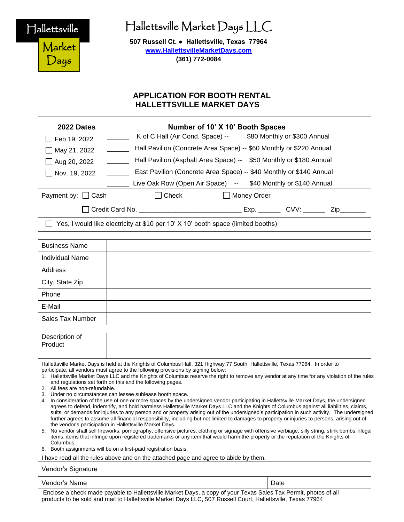Hallettsville

Market

Days

# Hallettsville Market Days LLC

**507 Russell Ct. ● Hallettsville, Texas 77964 [www.HallettsvilleMarketDays.com](http://www.hallettsvillemarketdays.com/) (361) 772-0084**

# **APPLICATION FOR BOOTH RENTAL HALLETTSVILLE MARKET DAYS**

| 2022 Dates                                                                       | Number of 10' X 10' Booth Spaces                                    |  |  |
|----------------------------------------------------------------------------------|---------------------------------------------------------------------|--|--|
| Feb 19, 2022                                                                     | K of C Hall (Air Cond. Space) -- \$80 Monthly or \$300 Annual       |  |  |
| $\Box$ May 21, 2022                                                              | Hall Pavilion (Concrete Area Space) -- \$60 Monthly or \$220 Annual |  |  |
| $\Box$ Aug 20, 2022                                                              | Hall Pavilion (Asphalt Area Space) -- \$50 Monthly or \$180 Annual  |  |  |
| $\Box$ Nov. 19, 2022                                                             | East Pavilion (Concrete Area Space) -- \$40 Monthly or \$140 Annual |  |  |
|                                                                                  | Live Oak Row (Open Air Space) -- \$40 Monthly or \$140 Annual       |  |  |
| Payment by: $\Box$ Cash                                                          | Check<br>□ Money Order                                              |  |  |
|                                                                                  | Credit Card No. <b>Example 20</b><br>$Exp.$ $CVV:$<br>Zip.          |  |  |
| Yes, I would like electricity at \$10 per 10' X 10' booth space (limited booths) |                                                                     |  |  |

| <b>Business Name</b>   |  |
|------------------------|--|
| <b>Individual Name</b> |  |
| Address                |  |
| City, State Zip        |  |
| Phone                  |  |
| E-Mail                 |  |
| Sales Tax Number       |  |

| Description of<br>Product |  |
|---------------------------|--|
|                           |  |

Hallettsville Market Days is held at the Knights of Columbus Hall, 321 Highway 77 South, Hallettsville, Texas 77964. In order to participate, all vendors must agree to the following provisions by signing below:

- 1. Hallettsville Market Days LLC and the Knights of Columbus reserve the right to remove any vendor at any time for any violation of the rules and regulations set forth on this and the following pages.
- 2. All fees are non-refundable.
- 3. Under no circumstances can lessee sublease booth space.
- 4. In consideration of the use of one or more spaces by the undersigned vendor participating in Hallettsville Market Days, the undersigned agrees to defend, indemnify, and hold harmless Hallettsville Market Days LLC and the Knights of Columbus against all liabilities, claims, suits, or demands for injuries to any person and or property arising out of the undersigned's participation in such activity. The undersigned further agrees to assume all financial responsibility, including but not limited to damages to property or injuries to persons, arising out of the vendor's participation in Hallettsville Market Days.
- 5. No vendor shall sell fireworks, pornography, offensive pictures, clothing or signage with offensive verbiage, silly string, stink bombs, illegal items, items that infringe upon registered trademarks or any item that would harm the property or the reputation of the Knights of Columbus.
- 6. Booth assignments will be on a first-paid registration basis.

I have read all the rules above and on the attached page and agree to abide by them.

| Vendor's Signature |                                                     |
|--------------------|-----------------------------------------------------|
| Vendor's Name      | Date                                                |
|                    | $\sim$ $\sim$<br>$\sim$ $\sim$<br>$\sim$<br>__<br>. |

Enclose a check made payable to Hallettsville Market Days, a copy of your Texas Sales Tax Permit, photos of all products to be sold and mail to Hallettsville Market Days LLC, 507 Russell Court, Hallettsville, Texas 77964